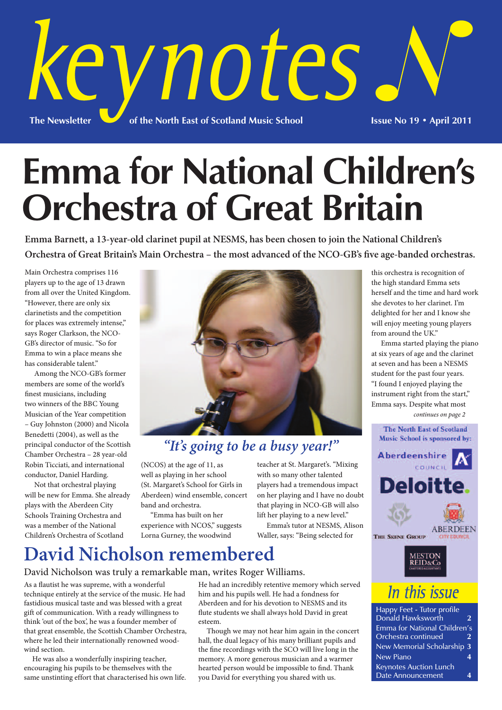

# **Emma for National Children's Orchestra of Great Britain**

**Emma Barnett, a 13-year-old clarinet pupil at NESMS, has been chosen to join the National Children's Orchestra of Great Britain's Main Orchestra – the most advanced of the NCO-GB's five age-banded orchestras.**

Main Orchestra comprises 116 players up to the age of 13 drawn from all over the United Kingdom. "However, there are only six clarinetists and the competition for places was extremely intense," says Roger Clarkson, the NCO-GB's director of music. "So for Emma to win a place means she has considerable talent."

 Among the NCO-GB's former members are some of the world's finest musicians, including two winners of the BBC Young Musician of the Year competition – Guy Johnston (2000) and Nicola Benedetti (2004), as well as the principal conductor of the Scottish Chamber Orchestra – 28 year-old Robin Ticciati, and international conductor, Daniel Harding.

 Not that orchestral playing will be new for Emma. She already plays with the Aberdeen City Schools Training Orchestra and was a member of the National Children's Orchestra of Scotland



### *"It's going to be a busy year!"*

(NCOS) at the age of 11, as well as playing in her school (St. Margaret's School for Girls in Aberdeen) wind ensemble, concert band and orchestra.

 "Emma has built on her experience with NCOS," suggests Lorna Gurney, the woodwind

teacher at St. Margaret's. "Mixing with so many other talented players had a tremendous impact on her playing and I have no doubt that playing in NCO-GB will also lift her playing to a new level."

 Emma's tutor at NESMS, Alison Waller, says: "Being selected for

this orchestra is recognition of the high standard Emma sets herself and the time and hard work she devotes to her clarinet. I'm delighted for her and I know she will enjoy meeting young players from around the UK."

 Emma started playing the piano at six years of age and the clarinet at seven and has been a NESMS student for the past four years. "I found I enjoyed playing the instrument right from the start," Emma says. Despite what most *continues on page 2*



## REID&Co

In this issue

Happy Feet - Tutor profile Donald Hawksworth 2 Emma for National Children's Orchestra continued **2** New Memorial Scholarship **3** New Piano **4** Keynotes Auction Lunch Date Announcement 4

## **David Nicholson remembered**

#### David Nicholson was truly a remarkable man, writes Roger Williams.

As a flautist he was supreme, with a wonderful technique entirely at the service of the music. He had fastidious musical taste and was blessed with a great gift of communication. With a ready willingness to think 'out of the box', he was a founder member of that great ensemble, the Scottish Chamber Orchestra, where he led their internationally renowned woodwind section.

 He was also a wonderfully inspiring teacher, encouraging his pupils to be themselves with the same unstinting effort that characterised his own life. He had an incredibly retentive memory which served him and his pupils well. He had a fondness for Aberdeen and for his devotion to NESMS and its flute students we shall always hold David in great esteem.

 Though we may not hear him again in the concert hall, the dual legacy of his many brilliant pupils and the fine recordings with the SCO will live long in the memory. A more generous musician and a warmer hearted person would be impossible to find. Thank you David for everything you shared with us.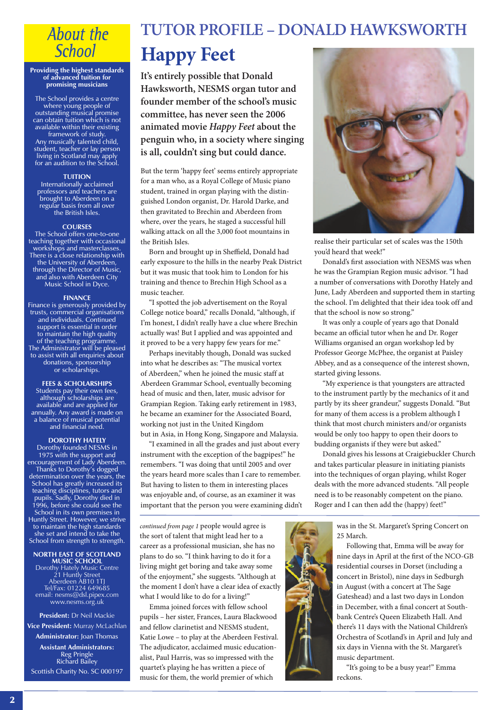### **About the School**

#### **Providing the highest standards of advanced tuition for promising musicians**

The School provides a centre where young people of outstanding musical promise can obtain tuition which is not available within their existing framework of study. Any musically talented child, student, teacher or lay person living in Scotland may apply for an audition to the School.

#### **TUITION**

Internationally acclaimed professors and teachers are brought to Aberdeen on a regular basis from all over the British Isles.

#### **COURSES**

The School offers one-to-one teaching together with occasional workshops and masterclasses. There is a close relationship with the University of Aberdeen, through the Director of Music, and also with Aberdeen City Music School in Dyce.

#### **FINANCE**

Finance is generously provided by trusts, commercial organisations and individuals. Continued support is essential in order to maintain the high quality of the teaching programme. The Administrator will be pleased to assist with all enquiries about donations, sponsorship or scholarships.

**FEES & SCHOLARSHIPS** Students pay their own fees, although scholarships are available and are applied for annually. Any award is made on a balance of musical potential and financial need.

#### **DOROTHY HATELY**

Dorothy founded NESMS in 1975 with the support and encouragement of Lady Aberdeen. Thanks to Dorothy's dogged determination over the years, the School has greatly increased its teaching disciplines, tutors and pupils. Sadly, Dorothy died in 1996, before she could see the School in its own premises in Huntly Street. However, we strive to maintain the high standards she set and intend to take the School from strength to strength.

**NORTH EAST OF SCOTLAND MUSIC SCHOOL** Dorothy Hately Music Centre 21 Huntly Street Aberdeen AB10 1TJ Tel/Fax: 01224 649685 email: nesms@dsl.pipex.com www.nesms.org.uk

**President:** Dr Neil Mackie **Vice President:** Murray McLachlan **Administrator:** Joan Thomas **Assistant Administrators:** Reg Pringle Richard Bailey Scottish Charity No. SC 000197

### **TUTOR PROFILE – DONALD HAWKSWORTH**

## **Happy Feet**

**It's entirely possible that Donald Hawksworth, NESMS organ tutor and founder member of the school's music committee, has never seen the 2006 animated movie** *Happy Feet* **about the penguin who, in a society where singing is all, couldn't sing but could dance.**

But the term 'happy feet' seems entirely appropriate for a man who, as a Royal College of Music piano student, trained in organ playing with the distinguished London organist, Dr. Harold Darke, and then gravitated to Brechin and Aberdeen from where, over the years, he staged a successful hill walking attack on all the 3,000 foot mountains in the British Isles.

 Born and brought up in Sheffield, Donald had early exposure to the hills in the nearby Peak District but it was music that took him to London for his training and thence to Brechin High School as a music teacher.

 "I spotted the job advertisement on the Royal College notice board," recalls Donald, "although, if I'm honest, I didn't really have a clue where Brechin actually was! But I applied and was appointed and it proved to be a very happy few years for me."

 Perhaps inevitably though, Donald was sucked into what he describes as: "The musical vortex of Aberdeen," when he joined the music staff at Aberdeen Grammar School, eventually becoming head of music and then, later, music advisor for Grampian Region. Taking early retirement in 1983, he became an examiner for the Associated Board, working not just in the United Kingdom but in Asia, in Hong Kong, Singapore and Malaysia.

 "I examined in all the grades and just about every instrument with the exception of the bagpipes!" he remembers. "I was doing that until 2005 and over the years heard more scales than I care to remember. But having to listen to them in interesting places was enjoyable and, of course, as an examiner it was important that the person you were examining didn't

*continued from page 1* people would agree is the sort of talent that might lead her to a career as a professional musician, she has no plans to do so. "I think having to do it for a living might get boring and take away some of the enjoyment," she suggests. "Although at the moment I don't have a clear idea of exactly what I would like to do for a living!"

 Emma joined forces with fellow school pupils – her sister, Frances, Laura Blackwood and fellow clarinetist and NESMS student, Katie Lowe – to play at the Aberdeen Festival. The adjudicator, acclaimed music educationalist, Paul Harris, was so impressed with the quartet's playing he has written a piece of music for them, the world premier of which



realise their particular set of scales was the 150th you'd heard that week!"

 Donald's first association with NESMS was when he was the Grampian Region music advisor. "I had a number of conversations with Dorothy Hately and June, Lady Aberdeen and supported them in starting the school. I'm delighted that their idea took off and that the school is now so strong."

 It was only a couple of years ago that Donald became an official tutor when he and Dr. Roger Williams organised an organ workshop led by Professor George McPhee, the organist at Paisley Abbey, and as a consequence of the interest shown, started giving lessons.

 "My experience is that youngsters are attracted to the instrument partly by the mechanics of it and partly by its sheer grandeur," suggests Donald. "But for many of them access is a problem although I think that most church ministers and/or organists would be only too happy to open their doors to budding organists if they were but asked."

 Donald gives his lessons at Craigiebuckler Church and takes particular pleasure in initiating pianists into the techniques of organ playing, whilst Roger deals with the more advanced students. "All people need is to be reasonably competent on the piano. Roger and I can then add the (happy) feet!"

> was in the St. Margaret's Spring Concert on 25 March.

 Following that, Emma will be away for nine days in April at the first of the NCO-GB residential courses in Dorset (including a concert in Bristol), nine days in Sedburgh in August (with a concert at The Sage Gateshead) and a last two days in London in December, with a final concert at Southbank Centre's Queen Elizabeth Hall. And there's 11 days with the National Children's Orchestra of Scotland's in April and July and six days in Vienna with the St. Margaret's music department.

 "It's going to be a busy year!" Emma reckons.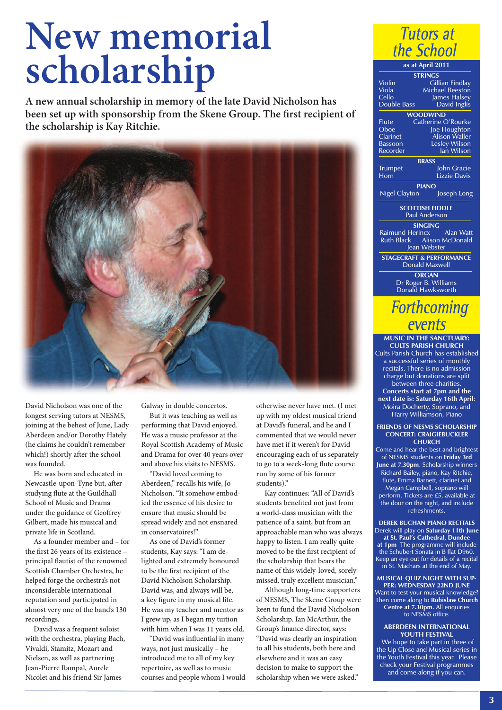# **New memorial scholarship**

**A new annual scholarship in memory of the late David Nicholson has been set up with sponsorship from the Skene Group. The first recipient of the scholarship is Kay Ritchie.**



David Nicholson was one of the longest serving tutors at NESMS, joining at the behest of June, Lady Aberdeen and/or Dorothy Hately (he claims he couldn't remember which!) shortly after the school was founded.

 He was born and educated in Newcastle-upon-Tyne but, after studying flute at the Guildhall School of Music and Drama under the guidance of Geoffrey Gilbert, made his musical and private life in Scotland.

 As a founder member and – for the first 26 years of its existence – principal flautist of the renowned Scottish Chamber Orchestra, he helped forge the orchestra's not inconsiderable international reputation and participated in almost very one of the band's 130 recordings.

 David was a frequent soloist with the orchestra, playing Bach, Vivaldi, Stamitz, Mozart and Nielsen, as well as partnering Jean-Pierre Rampal, Aurele Nicolet and his friend Sir James

Galway in double concertos.

 But it was teaching as well as performing that David enjoyed. He was a music professor at the Royal Scottish Academy of Music and Drama for over 40 years over and above his visits to NESMS.

 "David loved coming to Aberdeen," recalls his wife, Jo Nicholson. "It somehow embodied the essence of his desire to ensure that music should be spread widely and not ensnared in conservatoires!"

 As one of David's former students, Kay says: "I am delighted and extremely honoured to be the first recipient of the David Nicholson Scholarship. David was, and always will be, a key figure in my musical life. He was my teacher and mentor as I grew up, as I began my tuition with him when I was 11 years old.

 "David was influential in many ways, not just musically – he introduced me to all of my key repertoire, as well as to music courses and people whom I would otherwise never have met. (I met up with my oldest musical friend at David's funeral, and he and I commented that we would never have met if it weren't for David encouraging each of us separately to go to a week-long flute course run by some of his former students)."

 Kay continues: "All of David's students benefited not just from a world-class musician with the patience of a saint, but from an approachable man who was always happy to listen. I am really quite moved to be the first recipient of the scholarship that bears the name of this widely-loved, sorelymissed, truly excellent musician."

 Although long-time supporters of NESMS, The Skene Group were keen to fund the David Nicholson Scholarship. Ian McArthur, the Group's finance director, says: "David was clearly an inspiration to all his students, both here and elsewhere and it was an easy decision to make to support the scholarship when we were asked."

| Tutors at        |
|------------------|
| the School       |
| as at April 2011 |

**STRINGS** Violin Gillian Findlay<br>
Viola Michael Beeston Viola Michael Beeston<br>Cello lames Halsev Cello James Halsey<br>Double Bass David Inglis David Inglis **WOODWIND** Flute Catherine O'Rourke<br>Oboe Joe Houghton Oboe Joe Houghton Clarinet Alison Waller Bassoon Lesley Wilson Recorder **Ian Wilson BRASS** Trumpet John Gracie Horn Lizzie Davis **PIANO** Nigel Clayton Joseph Long **SCOTTISH FIDDLE** Paul Anderson **SINGING** Raimund Herincx Alan Watt Ruth Black Alison McDonald Jean Webster **STAGECRAFT & PERFORMANCE** Donald Maxwell **ORGAN** Dr Roger B. Williams Donald Hawksworth **Forthcoming** 

# events

**MUSIC IN THE SANCTUARY: CULTS PARISH CHURCH** Cults Parish Church has established a successful series of monthly recitals. There is no admission charge but donations are split between three charities. **Concerts start at 7pm and the next date is: Saturday 16th April**: Moira Docherty, Soprano, and Harry Williamson, Piano

**FRIENDS OF NESMS SCHOLARSHIP CONCERT: CRAIGIEBUCKLER CHURCH**

Come and hear the best and brightest of NESMS students on **Friday 3rd June at 7.30pm**. Scholarship winners Richard Bailey, piano, Kay Ritchie, flute, Emma Barnett, clarinet and Megan Campbell, soprano will perform. Tickets are £5, available at the door on the night, and include refreshments.

**DEREK BUCHAN PIANO RECITALS** Derek will play on **Saturday 11th June at St. Paul's Cathedral, Dundee**

**at 1pm** The programme will include the Schubert Sonata in B flat D960. Keep an eye out for details of a recital in St. Machars at the end of May.

**MUSICAL QUIZ NIGHT WITH SUP-PER: WEDNESDAY 22ND JUNE** Want to test your musical knowledge? Then come along to **Rubislaw Church Centre at 7.30pm.** All enquiries to NESMS office.

**ABERDEEN INTERNATIONAL YOUTH FESTIVAL** We hope to take part in three of

the Up Close and Musical series in the Youth Festival this year. Please check your Festival programmes and come along if you can.